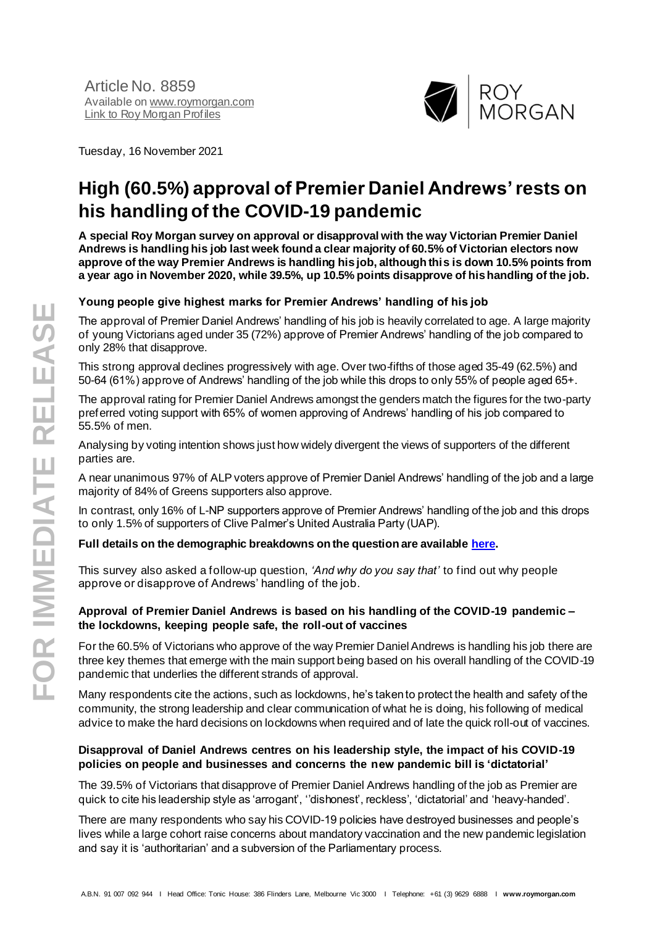

Tuesday, 16 November 2021

# **High (60.5%) approval of Premier Daniel Andrews' rests on his handling of the COVID-19 pandemic**

**A special Roy Morgan survey on approval or disapproval with the way Victorian Premier Daniel Andrews is handling his job last week found a clear majority of 60.5% of Victorian electors now approve of the way Premier Andrews is handling his job, although this is down 10.5% points from a year ago in November 2020, while 39.5%, up 10.5% points disapprove of his handling of the job.**

## **Young people give highest marks for Premier Andrews' handling of his job**

The approval of Premier Daniel Andrews' handling of his job is heavily correlated to age. A large majority of young Victorians aged under 35 (72%) approve of Premier Andrews' handling of the job compared to only 28% that disapprove.

This strong approval declines progressively with age. Over two-fifths of those aged 35-49 (62.5%) and 50-64 (61%) approve of Andrews' handling of the job while this drops to only 55% of people aged 65+.

The approval rating for Premier Daniel Andrews amongst the genders match the figures for the two-party preferred voting support with 65% of women approving of Andrews' handling of his job compared to 55.5% of men.

Analysing by voting intention shows just how widely divergent the views of supporters of the different parties are.

A near unanimous 97% of ALP voters approve of Premier Daniel Andrews' handling of the job and a large majority of 84% of Greens supporters also approve.

In contrast, only 16% of L-NP supporters approve of Premier Andrews' handling of the job and this drops to only 1.5% of supporters of Clive Palmer's United Australia Party (UAP).

#### **Full details on the demographic breakdowns on the question are availabl[e here](https://www.roymorgan.com/findings/8858-victorian-voting-intention-approvals-november-2021-202111111348).**

This survey also asked a follow-up question, *'And why do you say that'* to find out why people approve or disapprove of Andrews' handling of the job.

#### **Approval of Premier Daniel Andrews is based on his handling of the COVID-19 pandemic – the lockdowns, keeping people safe, the roll-out of vaccines**

For the 60.5% of Victorians who approve of the way Premier Daniel Andrews is handling his job there are three key themes that emerge with the main support being based on his overall handling of the COVID-19 pandemic that underlies the different strands of approval.

Many respondents cite the actions, such as lockdowns, he's taken to protect the health and safety of the community, the strong leadership and clear communication of what he is doing, his following of medical advice to make the hard decisions on lockdowns when required and of late the quick roll-out of vaccines.

#### **Disapproval of Daniel Andrews centres on his leadership style, the impact of his COVID-19 policies on people and businesses and concerns the new pandemic bill is 'dictatorial'**

The 39.5% of Victorians that disapprove of Premier Daniel Andrews handling of the job as Premier are quick to cite his leadership style as 'arrogant', ''dishonest', reckless', 'dictatorial' and 'heavy-handed'.

There are many respondents who say his COVID-19 policies have destroyed businesses and people's lives while a large cohort raise concerns about mandatory vaccination and the new pandemic legislation and say it is 'authoritarian' and a subversion of the Parliamentary process.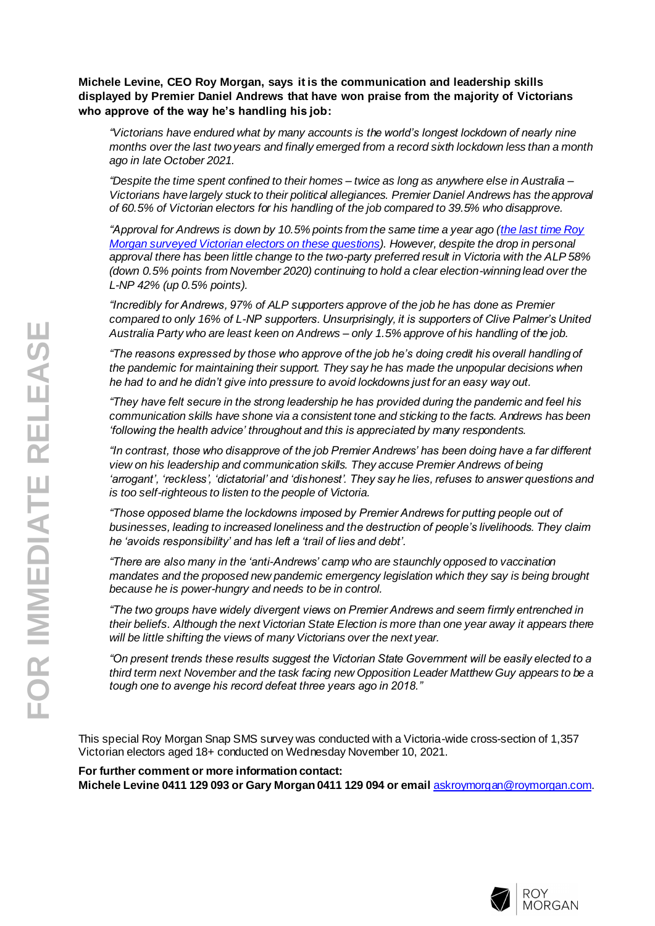#### **Michele Levine, CEO Roy Morgan, says it is the communication and leadership skills displayed by Premier Daniel Andrews that have won praise from the majority of Victorians who approve of the way he's handling his job:**

*"Victorians have endured what by many accounts is the world's longest lockdown of nearly nine months over the last two years and finally emerged from a record sixth lockdown less than a month ago in late October 2021.*

*"Despite the time spent confined to their homes – twice as long as anywhere else in Australia – Victorians have largely stuck to their political allegiances. Premier Daniel Andrews has the approval of 60.5% of Victorian electors for his handling of the job compared to 39.5% who disapprove.*

*"Approval for Andrews is down by 10.5% points from the same time a year ago [\(the last time Roy](http://www.roymorgan.com/findings/8568-roy-morgan-survey-on-voting-intention-and-approvals-in-victoria-november-12-2020-202011111454)  [Morgan surveyed Victorian electors on these questions](http://www.roymorgan.com/findings/8568-roy-morgan-survey-on-voting-intention-and-approvals-in-victoria-november-12-2020-202011111454)). However, despite the drop in personal approval there has been little change to the two-party preferred result in Victoria with the ALP 58% (down 0.5% points from November 2020) continuing to hold a clear election-winning lead over the L-NP 42% (up 0.5% points).*

*"Incredibly for Andrews, 97% of ALP supporters approve of the job he has done as Premier compared to only 16% of L-NP supporters. Unsurprisingly, it is supporters of Clive Palmer's United Australia Party who are least keen on Andrews – only 1.5% approve of his handling of the job.*

*"The reasons expressed by those who approve of the job he's doing credit his overall handling of the pandemic for maintaining their support. They say he has made the unpopular decisions when he had to and he didn't give into pressure to avoid lockdowns just for an easy way out.*

*"They have felt secure in the strong leadership he has provided during the pandemic and feel his communication skills have shone via a consistent tone and sticking to the facts. Andrews has been 'following the health advice' throughout and this is appreciated by many respondents.*

*"In contrast, those who disapprove of the job Premier Andrews' has been doing have a far different view on his leadership and communication skills. They accuse Premier Andrews of being 'arrogant', 'reckless', 'dictatorial' and 'dishonest'. They say he lies, refuses to answer questions and is too self-righteous to listen to the people of Victoria.*

*"Those opposed blame the lockdowns imposed by Premier Andrews for putting people out of businesses, leading to increased loneliness and the destruction of people's livelihoods. They claim he 'avoids responsibility' and has left a 'trail of lies and debt'.*

*"There are also many in the 'anti-Andrews' camp who are staunchly opposed to vaccination mandates and the proposed new pandemic emergency legislation which they say is being brought because he is power-hungry and needs to be in control.*

*"The two groups have widely divergent views on Premier Andrews and seem firmly entrenched in their beliefs. Although the next Victorian State Election is more than one year away it appears there will be little shifting the views of many Victorians over the next year.*

*"On present trends these results suggest the Victorian State Government will be easily elected to a third term next November and the task facing new Opposition Leader Matthew Guy appears to be a tough one to avenge his record defeat three years ago in 2018."*

This special Roy Morgan Snap SMS survey was conducted with a Victoria-wide cross-section of 1,357 Victorian electors aged 18+ conducted on Wednesday November 10, 2021.

**For further comment or more information contact: Michele Levine 0411 129 093 or Gary Morgan 0411 129 094 or email** [askroymorgan@roymorgan.com](mailto:askroymorgan@roymorgan.com).

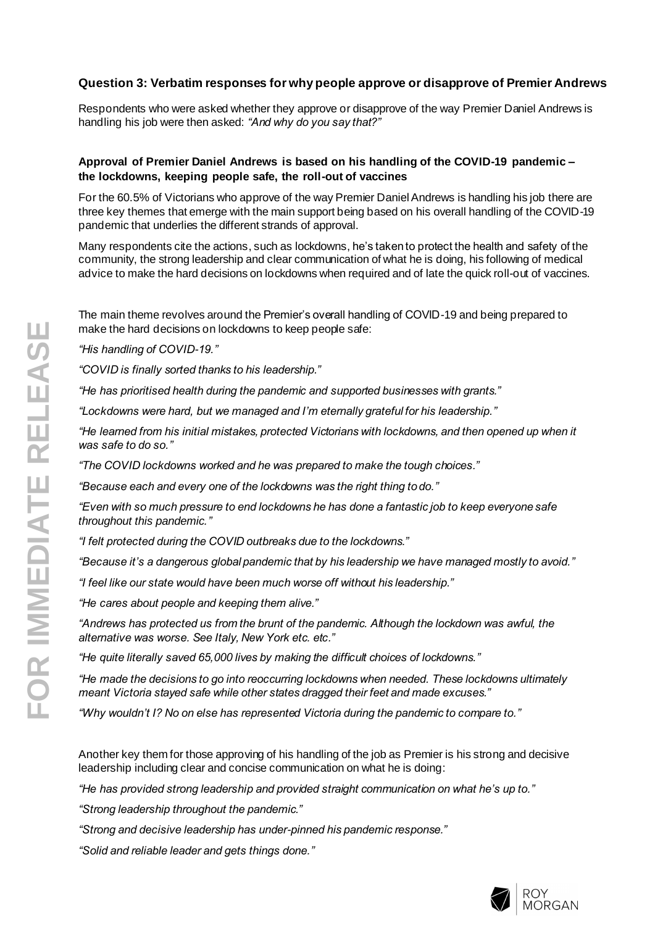### **Question 3: Verbatim responses for why people approve or disapprove of Premier Andrews**

Respondents who were asked whether they approve or disapprove of the way Premier Daniel Andrews is handling his job were then asked: *"And why do you say that?"*

#### **Approval of Premier Daniel Andrews is based on his handling of the COVID-19 pandemic – the lockdowns, keeping people safe, the roll-out of vaccines**

For the 60.5% of Victorians who approve of the way Premier Daniel Andrews is handling his job there are three key themes that emerge with the main support being based on his overall handling of the COVID-19 pandemic that underlies the different strands of approval.

Many respondents cite the actions, such as lockdowns, he's taken to protect the health and safety of the community, the strong leadership and clear communication of what he is doing, his following of medical advice to make the hard decisions on lockdowns when required and of late the quick roll-out of vaccines.

The main theme revolves around the Premier's overall handling of COVID-19 and being prepared to make the hard decisions on lockdowns to keep people safe:

*"His handling of COVID-19."*

*"COVID is finally sorted thanks to his leadership."*

*"He has prioritised health during the pandemic and supported businesses with grants."*

*"Lockdowns were hard, but we managed and I'm eternally grateful for his leadership."*

*"He learned from his initial mistakes, protected Victorians with lockdowns, and then opened up when it was safe to do so."*

*"The COVID lockdowns worked and he was prepared to make the tough choices."*

*"Because each and every one of the lockdowns was the right thing to do."*

*"Even with so much pressure to end lockdowns he has done a fantastic job to keep everyone safe throughout this pandemic."*

*"I felt protected during the COVID outbreaks due to the lockdowns."*

*"Because it's a dangerous global pandemic that by his leadership we have managed mostly to avoid."*

*"I feel like our state would have been much worse off without his leadership."*

*"He cares about people and keeping them alive."*

*"Andrews has protected us from the brunt of the pandemic. Although the lockdown was awful, the alternative was worse. See Italy, New York etc. etc."*

*"He quite literally saved 65,000 lives by making the difficult choices of lockdowns."*

*"He made the decisions to go into reoccurring lockdowns when needed. These lockdowns ultimately meant Victoria stayed safe while other states dragged their feet and made excuses."*

*"Why wouldn't I? No on else has represented Victoria during the pandemic to compare to."*

Another key them for those approving of his handling of the job as Premier is his strong and decisive leadership including clear and concise communication on what he is doing:

*"He has provided strong leadership and provided straight communication on what he's up to."*

*"Strong leadership throughout the pandemic."*

*"Strong and decisive leadership has under-pinned his pandemic response."*

*"Solid and reliable leader and gets things done."*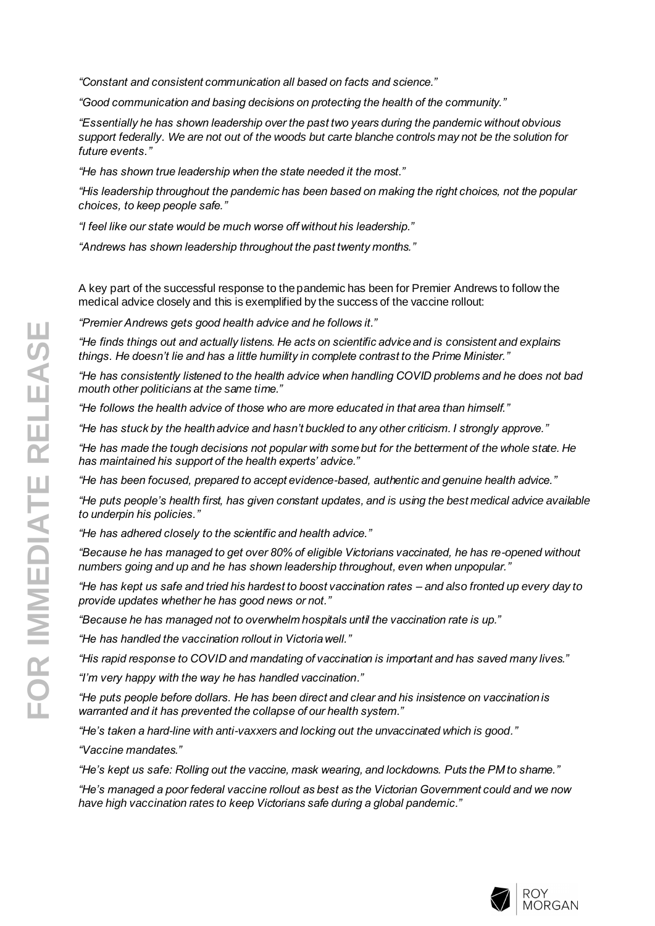*"Constant and consistent communication all based on facts and science."*

*"Good communication and basing decisions on protecting the health of the community."*

*"Essentially he has shown leadership over the past two years during the pandemic without obvious support federally. We are not out of the woods but carte blanche controls may not be the solution for future events."*

*"He has shown true leadership when the state needed it the most."*

*"His leadership throughout the pandemic has been based on making the right choices, not the popular choices, to keep people safe."*

*"I feel like our state would be much worse off without his leadership."*

*"Andrews has shown leadership throughout the past twenty months."* 

A key part of the successful response to the pandemic has been for Premier Andrews to follow the medical advice closely and this is exemplified by the success of the vaccine rollout:

*"Premier Andrews gets good health advice and he follows it."*

*"He finds things out and actually listens. He acts on scientific advice and is consistent and explains things. He doesn't lie and has a little humility in complete contrast to the Prime Minister."*

*"He has consistently listened to the health advice when handling COVID problems and he does not bad mouth other politicians at the same time."*

*"He follows the health advice of those who are more educated in that area than himself."*

*"He has stuck by the health advice and hasn't buckled to any other criticism. I strongly approve."*

*"He has made the tough decisions not popular with some but for the betterment of the whole state. He has maintained his support of the health experts' advice."*

*"He has been focused, prepared to accept evidence-based, authentic and genuine health advice."*

*"He puts people's health first, has given constant updates, and is using the best medical advice available to underpin his policies."*

*"He has adhered closely to the scientific and health advice."*

*"Because he has managed to get over 80% of eligible Victorians vaccinated, he has re-opened without numbers going and up and he has shown leadership throughout, even when unpopular."*

*"He has kept us safe and tried his hardest to boost vaccination rates – and also fronted up every day to provide updates whether he has good news or not."*

*"Because he has managed not to overwhelm hospitals until the vaccination rate is up."*

*"He has handled the vaccination rollout in Victoria well."*

*"His rapid response to COVID and mandating of vaccination is important and has saved many lives."*

*"I'm very happy with the way he has handled vaccination."*

*"He puts people before dollars. He has been direct and clear and his insistence on vaccination is warranted and it has prevented the collapse of our health system."*

*"He's taken a hard-line with anti-vaxxers and locking out the unvaccinated which is good."*

*"Vaccine mandates."*

*"He's kept us safe: Rolling out the vaccine, mask wearing, and lockdowns. Puts the PM to shame."*

*"He's managed a poor federal vaccine rollout as best as the Victorian Government could and we now have high vaccination rates to keep Victorians safe during a global pandemic."*

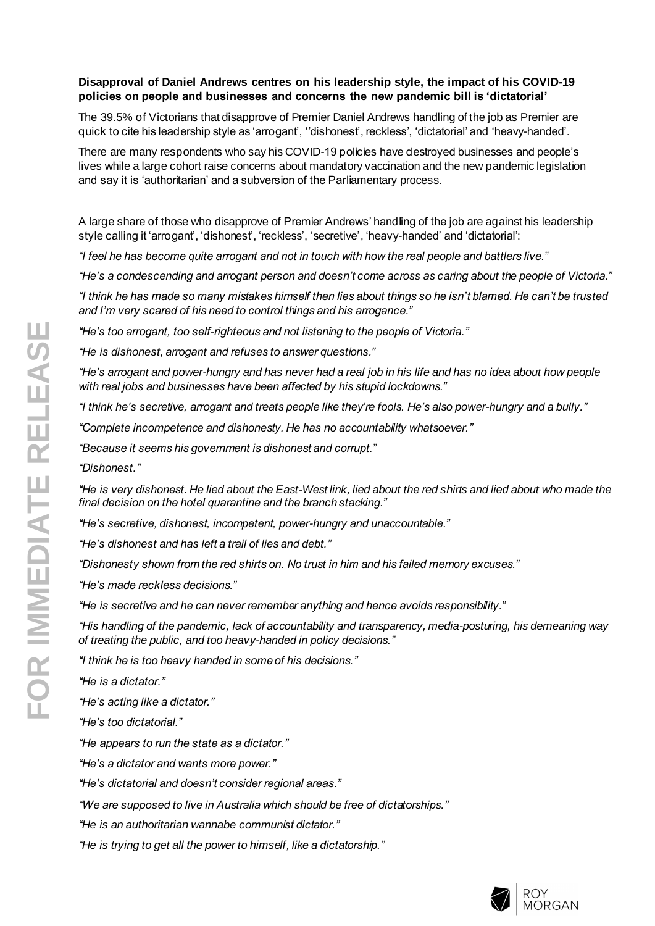#### **Disapproval of Daniel Andrews centres on his leadership style, the impact of his COVID-19 policies on people and businesses and concerns the new pandemic bill is 'dictatorial'**

The 39.5% of Victorians that disapprove of Premier Daniel Andrews handling of the job as Premier are quick to cite his leadership style as 'arrogant', ''dishonest', reckless', 'dictatorial' and 'heavy-handed'.

There are many respondents who say his COVID-19 policies have destroyed businesses and people's lives while a large cohort raise concerns about mandatory vaccination and the new pandemic legislation and say it is 'authoritarian' and a subversion of the Parliamentary process.

A large share of those who disapprove of Premier Andrews' handling of the job are against his leadership style calling it 'arrogant', 'dishonest', 'reckless', 'secretive', 'heavy-handed' and 'dictatorial':

*"I feel he has become quite arrogant and not in touch with how the real people and battlers live."*

*"He's a condescending and arrogant person and doesn't come across as caring about the people of Victoria."*

*"I think he has made so many mistakes himself then lies about things so he isn't blamed. He can't be trusted and I'm very scared of his need to control things and his arrogance."*

*"He's too arrogant, too self-righteous and not listening to the people of Victoria."*

*"He is dishonest, arrogant and refuses to answer questions."*

*"He's arrogant and power-hungry and has never had a real job in his life and has no idea about how people with real jobs and businesses have been affected by his stupid lockdowns."*

*"I think he's secretive, arrogant and treats people like they're fools. He's also power-hungry and a bully."*

*"Complete incompetence and dishonesty. He has no accountability whatsoever."*

*"Because it seems his government is dishonest and corrupt."*

*"Dishonest."*

*"He is very dishonest. He lied about the East-West link, lied about the red shirts and lied about who made the final decision on the hotel quarantine and the branch stacking."*

*"He's secretive, dishonest, incompetent, power-hungry and unaccountable."*

*"He's dishonest and has left a trail of lies and debt."*

*"Dishonesty shown from the red shirts on. No trust in him and his failed memory excuses."*

*"He's made reckless decisions."*

*"He is secretive and he can never remember anything and hence avoids responsibility."*

*"His handling of the pandemic, lack of accountability and transparency, media-posturing, his demeaning way of treating the public, and too heavy-handed in policy decisions."*

*"I think he is too heavy handed in some of his decisions."*

*"He is a dictator."*

*"He's acting like a dictator."*

*"He's too dictatorial."*

*"He appears to run the state as a dictator."*

*"He's a dictator and wants more power."*

*"He's dictatorial and doesn't consider regional areas."*

*"We are supposed to live in Australia which should be free of dictatorships."*

*"He is an authoritarian wannabe communist dictator."*

*"He is trying to get all the power to himself, like a dictatorship."*

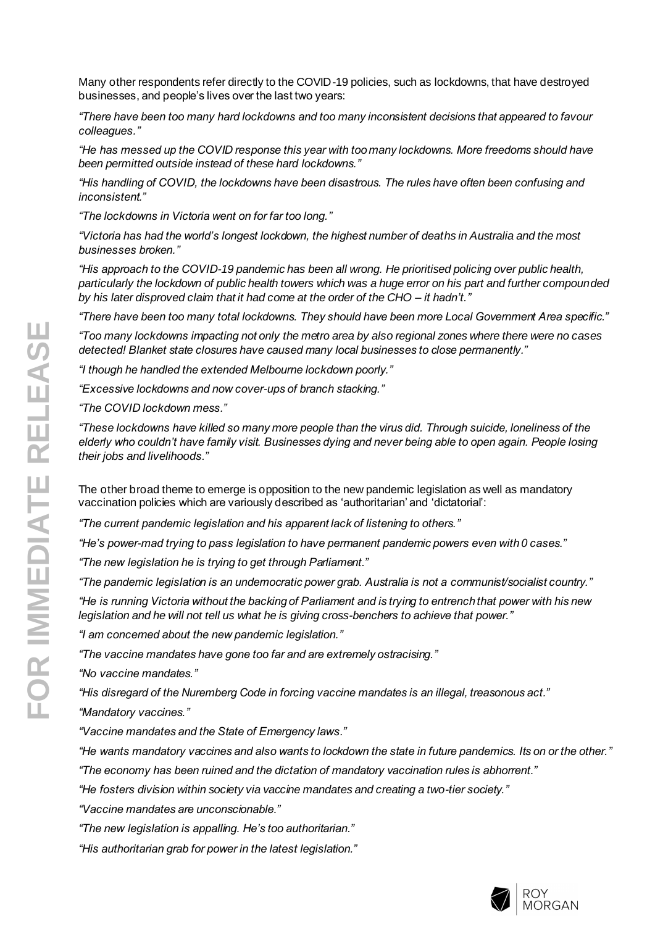Many other respondents refer directly to the COVID-19 policies, such as lockdowns, that have destroyed businesses, and people's lives over the last two years:

*"There have been too many hard lockdowns and too many inconsistent decisions that appeared to favour colleagues."*

*"He has messed up the COVID response this year with too many lockdowns. More freedoms should have been permitted outside instead of these hard lockdowns."*

*"His handling of COVID, the lockdowns have been disastrous. The rules have often been confusing and inconsistent."*

*"The lockdowns in Victoria went on for far too long."*

*"Victoria has had the world's longest lockdown, the highest number of deaths in Australia and the most businesses broken."*

*"His approach to the COVID-19 pandemic has been all wrong. He prioritised policing over public health, particularly the lockdown of public health towers which was a huge error on his part and further compounded by his later disproved claim that it had come at the order of the CHO – it hadn't."*

*"There have been too many total lockdowns. They should have been more Local Government Area specific."*

*"Too many lockdowns impacting not only the metro area by also regional zones where there were no cases detected! Blanket state closures have caused many local businesses to close permanently."*

*"I though he handled the extended Melbourne lockdown poorly."*

*"Excessive lockdowns and now cover-ups of branch stacking."*

*"The COVID lockdown mess."*

*"These lockdowns have killed so many more people than the virus did. Through suicide, loneliness of the elderly who couldn't have family visit. Businesses dying and never being able to open again. People losing their jobs and livelihoods."*

The other broad theme to emerge is opposition to the new pandemic legislation as well as mandatory vaccination policies which are variously described as 'authoritarian' and 'dictatorial':

*"The current pandemic legislation and his apparent lack of listening to others."*

*"He's power-mad trying to pass legislation to have permanent pandemic powers even with 0 cases."*

*"The new legislation he is trying to get through Parliament."*

*"The pandemic legislation is an undemocratic power grab. Australia is not a communist/socialist country."*

*"He is running Victoria without the backing of Parliament and is trying to entrench that power with his new legislation and he will not tell us what he is giving cross-benchers to achieve that power."*

*"I am concerned about the new pandemic legislation."*

*"The vaccine mandates have gone too far and are extremely ostracising."*

*"No vaccine mandates."*

*"His disregard of the Nuremberg Code in forcing vaccine mandates is an illegal, treasonous act."*

*"Mandatory vaccines."*

*"Vaccine mandates and the State of Emergency laws."*

*"He wants mandatory vaccines and also wants to lockdown the state in future pandemics. Its on or the other."*

*"The economy has been ruined and the dictation of mandatory vaccination rules is abhorrent."*

*"He fosters division within society via vaccine mandates and creating a two-tier society."*

*"Vaccine mandates are unconscionable."*

*"The new legislation is appalling. He's too authoritarian."*

*"His authoritarian grab for power in the latest legislation."*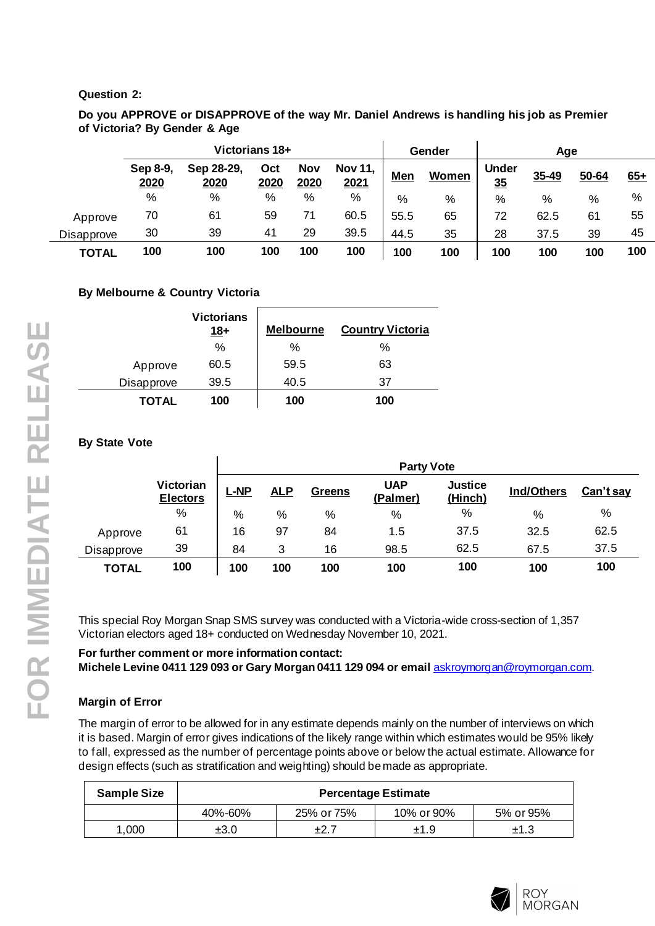## **Question 2:**

**Do you APPROVE or DISAPPROVE of the way Mr. Daniel Andrews is handling his job as Premier of Victoria? By Gender & Age**

|                   | Victorians 18+   |                    |             |                    |                        | Gender     |              | Age                |       |       |       |
|-------------------|------------------|--------------------|-------------|--------------------|------------------------|------------|--------------|--------------------|-------|-------|-------|
|                   | Sep 8-9,<br>2020 | Sep 28-29,<br>2020 | Oct<br>2020 | <b>Nov</b><br>2020 | <b>Nov 11,</b><br>2021 | <b>Men</b> | <b>Women</b> | <b>Under</b><br>35 | 35-49 | 50-64 | $65+$ |
|                   | %                | %                  | %           | %                  | %                      | %          | %            | $\%$               | %     | %     | %     |
| Approve           | 70               | 61                 | 59          | 71                 | 60.5                   | 55.5       | 65           | 72                 | 62.5  | 61    | 55    |
| <b>Disapprove</b> | 30               | 39                 | 41          | 29                 | 39.5                   | 44.5       | 35           | 28                 | 37.5  | 39    | 45    |
| <b>TOTAL</b>      | 100              | 100                | 100         | 100                | 100                    | 100        | 100          | 100                | 100   | 100   | 100   |

## **By Melbourne & Country Victoria**

|            | <b>Victorians</b><br>$18+$ | <b>Melbourne</b> | <b>Country Victoria</b> |
|------------|----------------------------|------------------|-------------------------|
|            | $\%$                       | %                | $\%$                    |
| Approve    | 60.5                       | 59.5             | 63                      |
| Disapprove | 39.5                       | 40.5             | 37                      |
| TOTAL      | 100                        | 100              | 100                     |

## **By State Vote**

|              |                                     | <b>Party Vote</b> |            |        |                        |                           |                   |           |  |  |
|--------------|-------------------------------------|-------------------|------------|--------|------------------------|---------------------------|-------------------|-----------|--|--|
|              | <b>Victorian</b><br><b>Electors</b> | ←NP               | <u>ALP</u> | Greens | <b>UAP</b><br>(Palmer) | <b>Justice</b><br>(Hinch) | <b>Ind/Others</b> | Can't say |  |  |
|              | %                                   | %                 | %          | $\%$   | %                      | $\%$                      | $\frac{0}{0}$     | %         |  |  |
| Approve      | 61                                  | 16                | 97         | 84     | 1.5                    | 37.5                      | 32.5              | 62.5      |  |  |
| Disapprove   | 39                                  | 84                | 3          | 16     | 98.5                   | 62.5                      | 67.5              | 37.5      |  |  |
| <b>TOTAL</b> | 100                                 | 100               | 100        | 100    | 100                    | 100                       | 100               | 100       |  |  |

This special Roy Morgan Snap SMS survey was conducted with a Victoria-wide cross-section of 1,357 Victorian electors aged 18+ conducted on Wednesday November 10, 2021.

**For further comment or more information contact: Michele Levine 0411 129 093 or Gary Morgan 0411 129 094 or email** [askroymorgan@roymorgan.com](mailto:askroymorgan@roymorgan.com).

#### **Margin of Error**

The margin of error to be allowed for in any estimate depends mainly on the number of interviews on which it is based. Margin of error gives indications of the likely range within which estimates would be 95% likely to fall, expressed as the number of percentage points above or below the actual estimate. Allowance for design effects (such as stratification and weighting) should be made as appropriate.

| <b>Sample Size</b> | <b>Percentage Estimate</b> |            |            |           |  |  |  |  |  |
|--------------------|----------------------------|------------|------------|-----------|--|--|--|--|--|
|                    | 40%-60%                    | 25% or 75% | 10% or 90% | 5% or 95% |  |  |  |  |  |
| .000               | ±3.0                       | ±2.        | ±1.9       | ±1.3      |  |  |  |  |  |